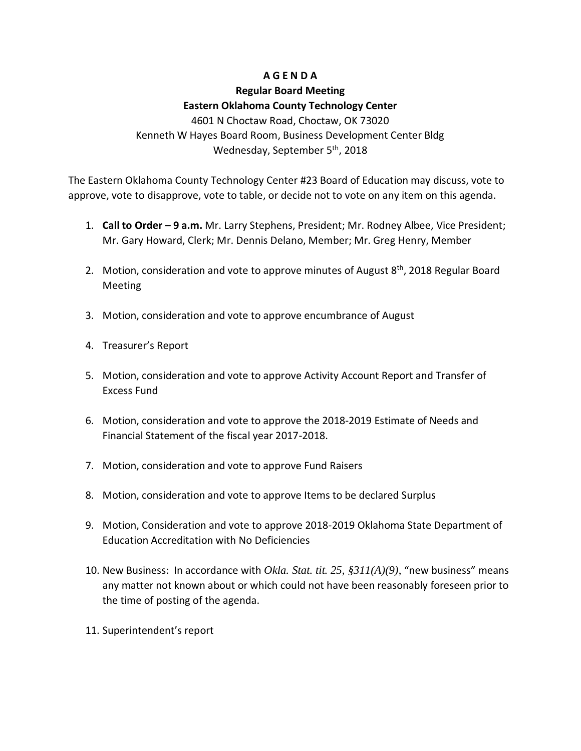## **A G E N D A**

# **Regular Board Meeting Eastern Oklahoma County Technology Center**

4601 N Choctaw Road, Choctaw, OK 73020 Kenneth W Hayes Board Room, Business Development Center Bldg Wednesday, September 5<sup>th</sup>, 2018

The Eastern Oklahoma County Technology Center #23 Board of Education may discuss, vote to approve, vote to disapprove, vote to table, or decide not to vote on any item on this agenda.

- 1. **Call to Order – 9 a.m.** Mr. Larry Stephens, President; Mr. Rodney Albee, Vice President; Mr. Gary Howard, Clerk; Mr. Dennis Delano, Member; Mr. Greg Henry, Member
- 2. Motion, consideration and vote to approve minutes of August  $8<sup>th</sup>$ , 2018 Regular Board Meeting
- 3. Motion, consideration and vote to approve encumbrance of August
- 4. Treasurer's Report
- 5. Motion, consideration and vote to approve Activity Account Report and Transfer of Excess Fund
- 6. Motion, consideration and vote to approve the 2018-2019 Estimate of Needs and Financial Statement of the fiscal year 2017-2018.
- 7. Motion, consideration and vote to approve Fund Raisers
- 8. Motion, consideration and vote to approve Items to be declared Surplus
- 9. Motion, Consideration and vote to approve 2018-2019 Oklahoma State Department of Education Accreditation with No Deficiencies
- 10. New Business: In accordance with *Okla. Stat. tit. 25, §311(A)(9)*, "new business" means any matter not known about or which could not have been reasonably foreseen prior to the time of posting of the agenda.
- 11. Superintendent's report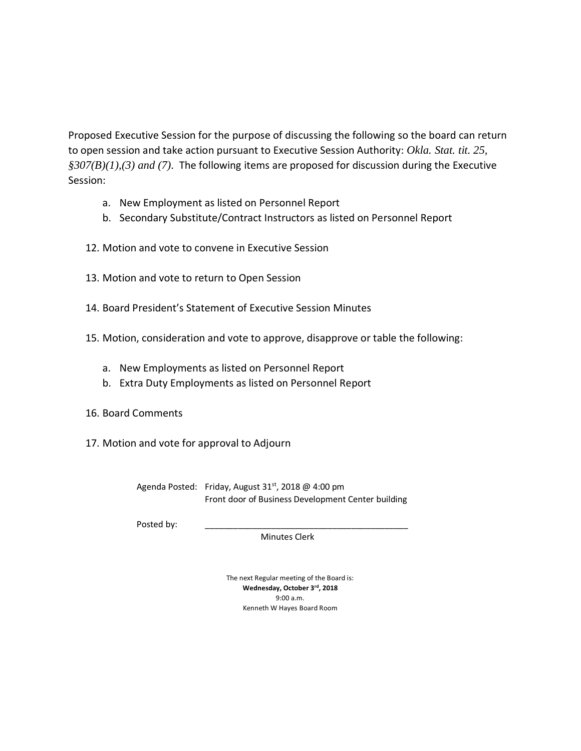Proposed Executive Session for the purpose of discussing the following so the board can return to open session and take action pursuant to Executive Session Authority: *Okla. Stat. tit. 25, §307(B)(1),(3) and (7).* The following items are proposed for discussion during the Executive Session:

- a. New Employment as listed on Personnel Report
- b. Secondary Substitute/Contract Instructors as listed on Personnel Report
- 12. Motion and vote to convene in Executive Session
- 13. Motion and vote to return to Open Session
- 14. Board President's Statement of Executive Session Minutes
- 15. Motion, consideration and vote to approve, disapprove or table the following:
	- a. New Employments as listed on Personnel Report
	- b. Extra Duty Employments as listed on Personnel Report
- 16. Board Comments
- 17. Motion and vote for approval to Adjourn

Agenda Posted: Friday, August 31<sup>st</sup>, 2018 @ 4:00 pm Front door of Business Development Center building

Posted by:

Minutes Clerk

The next Regular meeting of the Board is: **Wednesday, October 3rd, 2018** 9:00 a.m. Kenneth W Hayes Board Room